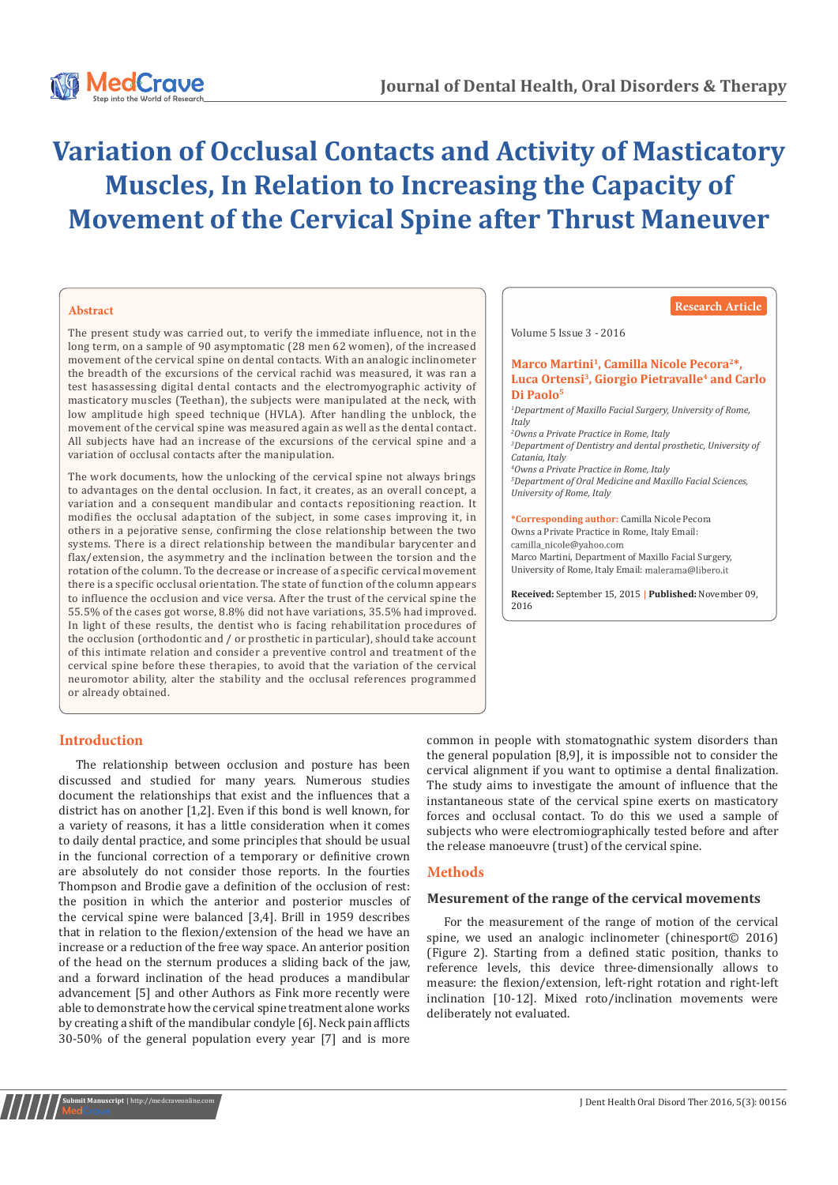

# **Variation of Occlusal Contacts and Activity of Masticatory Muscles, In Relation to Increasing the Capacity of Movement of the Cervical Spine after Thrust Maneuver**

#### **Abstract**

The present study was carried out, to verify the immediate influence, not in the long term, on a sample of 90 asymptomatic (28 men 62 women), of the increased movement of the cervical spine on dental contacts. With an analogic inclinometer the breadth of the excursions of the cervical rachid was measured, it was ran a test hasassessing digital dental contacts and the electromyographic activity of masticatory muscles (Teethan), the subjects were manipulated at the neck, with low amplitude high speed technique (HVLA). After handling the unblock, the movement of the cervical spine was measured again as well as the dental contact. All subjects have had an increase of the excursions of the cervical spine and a variation of occlusal contacts after the manipulation.

The work documents, how the unlocking of the cervical spine not always brings to advantages on the dental occlusion. In fact, it creates, as an overall concept, a variation and a consequent mandibular and contacts repositioning reaction. It modifies the occlusal adaptation of the subject, in some cases improving it, in others in a pejorative sense, confirming the close relationship between the two systems. There is a direct relationship between the mandibular barycenter and flax/extension, the asymmetry and the inclination between the torsion and the rotation of the column. To the decrease or increase of a specific cervical movement there is a specific occlusal orientation. The state of function of the column appears to influence the occlusion and vice versa. After the trust of the cervical spine the 55.5% of the cases got worse, 8.8% did not have variations, 35.5% had improved. In light of these results, the dentist who is facing rehabilitation procedures of the occlusion (orthodontic and / or prosthetic in particular), should take account of this intimate relation and consider a preventive control and treatment of the cervical spine before these therapies, to avoid that the variation of the cervical neuromotor ability, alter the stability and the occlusal references programmed or already obtained.

#### **Research Article**

Volume 5 Issue 3 - 2016

#### Marco Martini<sup>1</sup>, Camilla Nicole Pecora<sup>2\*</sup>. **Luca Ortensi3, Giorgio Pietravalle4 and Carlo Di Paolo5**

 *Department of Maxillo Facial Surgery, University of Rome, Italy Owns a Private Practice in Rome, Italy Department of Dentistry and dental prosthetic, University of Catania, Italy Owns a Private Practice in Rome, Italy Department of Oral Medicine and Maxillo Facial Sciences, University of Rome, Italy*

**\*Corresponding author:** Camilla Nicole Pecora Owns a Private Practice in Rome, Italy Email: Marco Martini, Department of Maxillo Facial Surgery, University of Rome, Italy Email:

**Received:** September 15, 2015 **| Published:** November 09, 2016

# **Introduction**

**ubmit Manuscript** | http://medcra

The relationship between occlusion and posture has been discussed and studied for many years. Numerous studies document the relationships that exist and the influences that a district has on another [1,2]. Even if this bond is well known, for a variety of reasons, it has a little consideration when it comes to daily dental practice, and some principles that should be usual in the funcional correction of a temporary or definitive crown are absolutely do not consider those reports. In the fourties Thompson and Brodie gave a definition of the occlusion of rest: the position in which the anterior and posterior muscles of the cervical spine were balanced [3,4]. Brill in 1959 describes that in relation to the flexion/extension of the head we have an increase or a reduction of the free way space. An anterior position of the head on the sternum produces a sliding back of the jaw, and a forward inclination of the head produces a mandibular advancement [5] and other Authors as Fink more recently were able to demonstrate how the cervical spine treatment alone works by creating a shift of the mandibular condyle [6]. Neck pain afflicts 30-50% of the general population every year [7] and is more

common in people with stomatognathic system disorders than the general population [8,9], it is impossible not to consider the cervical alignment if you want to optimise a dental finalization. The study aims to investigate the amount of influence that the instantaneous state of the cervical spine exerts on masticatory forces and occlusal contact. To do this we used a sample of subjects who were electromiographically tested before and after the release manoeuvre (trust) of the cervical spine.

# **Methods**

#### **Mesurement of the range of the cervical movements**

For the measurement of the range of motion of the cervical spine, we used an analogic inclinometer (chinesport© 2016) (Figure 2). Starting from a defined static position, thanks to reference levels, this device three-dimensionally allows to measure: the flexion/extension, left-right rotation and right-left inclination [10-12]. Mixed roto/inclination movements were deliberately not evaluated.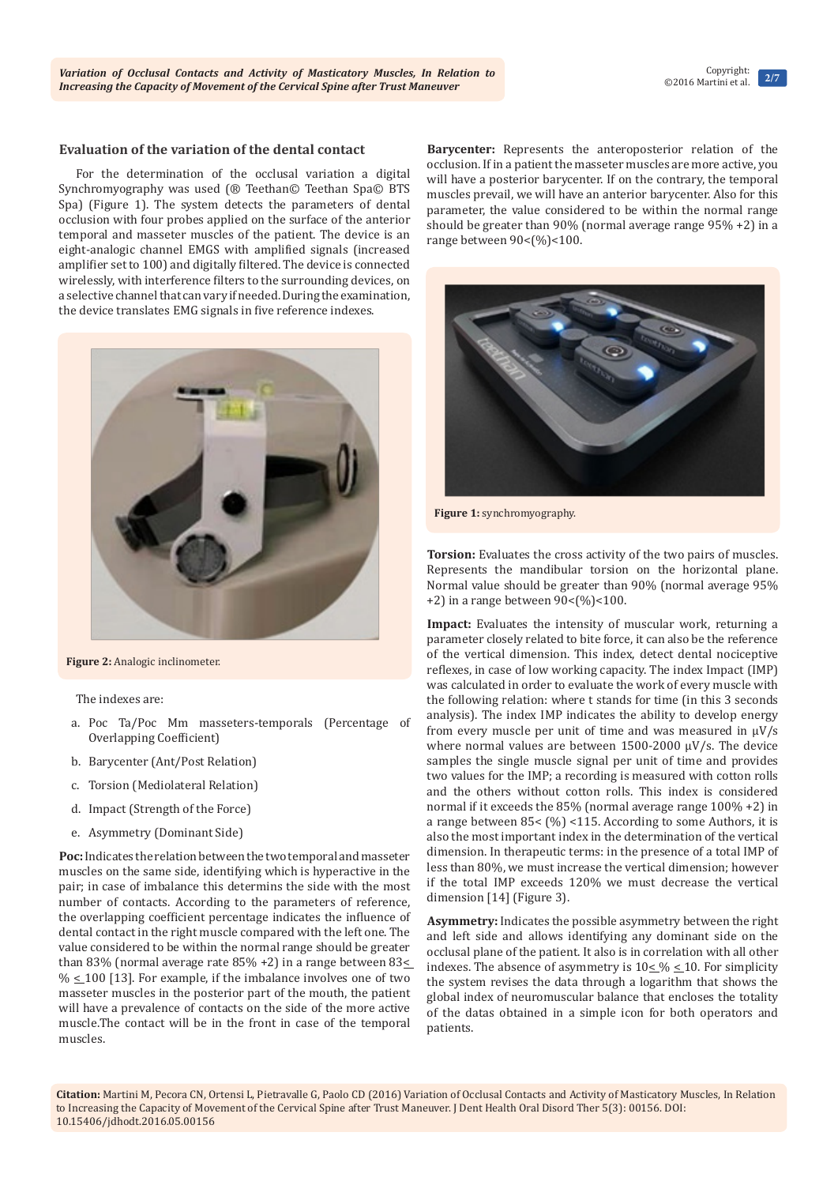#### **Evaluation of the variation of the dental contact**

For the determination of the occlusal variation a digital Synchromyography was used (® Teethan© Teethan Spa© BTS Spa) (Figure 1). The system detects the parameters of dental occlusion with four probes applied on the surface of the anterior temporal and masseter muscles of the patient. The device is an eight-analogic channel EMGS with amplified signals (increased amplifier set to 100) and digitally filtered. The device is connected wirelessly, with interference filters to the surrounding devices, on a selective channel that can vary if needed. During the examination, the device translates EMG signals in five reference indexes.



**Figure 2:** Analogic inclinometer.

The indexes are:

- a. Poc Ta/Poc Mm masseters-temporals (Percentage of Overlapping Coefficient)
- b. Barycenter (Ant/Post Relation)
- c. Torsion (Mediolateral Relation)
- d. Impact (Strength of the Force)
- e. Asymmetry (Dominant Side)

**Poc:** Indicates the relation between the two temporal and masseter muscles on the same side, identifying which is hyperactive in the pair; in case of imbalance this determins the side with the most number of contacts. According to the parameters of reference, the overlapping coefficient percentage indicates the influence of dental contact in the right muscle compared with the left one. The value considered to be within the normal range should be greater than 83% (normal average rate 85% +2) in a range between  $83\leq$  $% \leq 100$  [13]. For example, if the imbalance involves one of two masseter muscles in the posterior part of the mouth, the patient will have a prevalence of contacts on the side of the more active muscle.The contact will be in the front in case of the temporal muscles.

**Barycenter:** Represents the anteroposterior relation of the occlusion. If in a patient the masseter muscles are more active, you will have a posterior barycenter. If on the contrary, the temporal muscles prevail, we will have an anterior barycenter. Also for this parameter, the value considered to be within the normal range should be greater than 90% (normal average range 95% +2) in a range between 90<(%)<100.



**Figure 1:** synchromyography.

**Torsion:** Evaluates the cross activity of the two pairs of muscles. Represents the mandibular torsion on the horizontal plane. Normal value should be greater than 90% (normal average 95%  $+2$ ) in a range between 90 < (%) < 100.

**Impact:** Evaluates the intensity of muscular work, returning a parameter closely related to bite force, it can also be the reference of the vertical dimension. This index, detect dental nociceptive reflexes, in case of low working capacity. The index Impact (IMP) was calculated in order to evaluate the work of every muscle with the following relation: where t stands for time (in this 3 seconds analysis). The index IMP indicates the ability to develop energy from every muscle per unit of time and was measured in μV/s where normal values are between 1500-2000  $\mu$ V/s. The device samples the single muscle signal per unit of time and provides two values for the IMP; a recording is measured with cotton rolls and the others without cotton rolls. This index is considered normal if it exceeds the 85% (normal average range 100% +2) in a range between 85< (%) <115. According to some Authors, it is also the most important index in the determination of the vertical dimension. In therapeutic terms: in the presence of a total IMP of less than 80%, we must increase the vertical dimension; however if the total IMP exceeds 120% we must decrease the vertical dimension [14] (Figure 3).

**Asymmetry:** Indicates the possible asymmetry between the right and left side and allows identifying any dominant side on the occlusal plane of the patient. It also is in correlation with all other indexes. The absence of asymmetry is  $10 \leq \% \leq 10$ . For simplicity the system revises the data through a logarithm that shows the global index of neuromuscular balance that encloses the totality of the datas obtained in a simple icon for both operators and patients.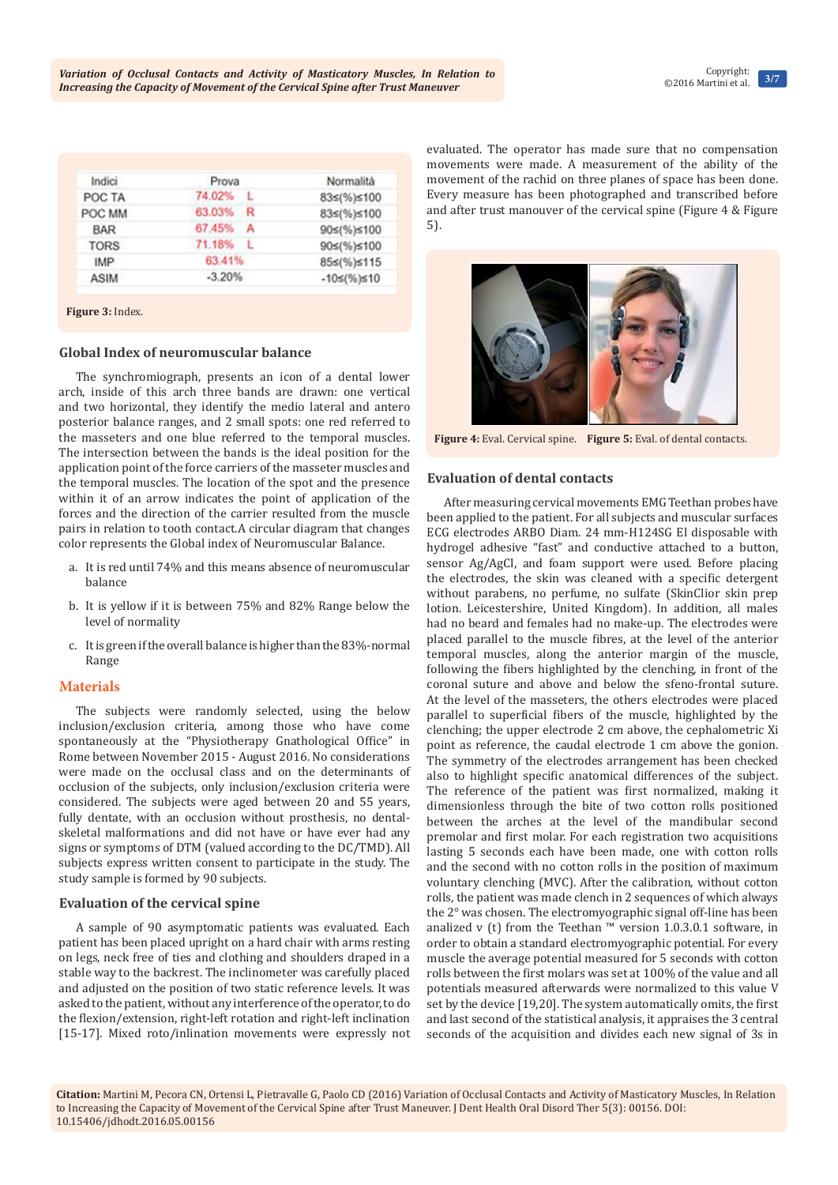**Citation:** Martini M, Pecora CN, Ortensi L, Pietravalle G, Paolo CD (2016) Variation of Occlusal Contacts and Activity of Masticatory Muscles, In Relation to Increasing the Capacity of Movement of the Cervical Spine after Trust Maneuver. J Dent Health Oral Disord Ther 5(3): 00156. DOI: [10.15406/jdhodt.2016.05.00156](http://dx.doi.org/10.15406/jdhodt.2016.05.00156)

| Indici      | Prova    | Normalità              |
|-------------|----------|------------------------|
| POC TA      | 74.02% L | 83≤(%)≤100             |
| POC MM      | 63.03% R | 83≤(%)≤100             |
| <b>BAR</b>  | 67.45% A | 90≤(%)≤100             |
| <b>TORS</b> | 71.18% L | 90≤(%)≤100             |
| <b>IMP</b>  | 63.41%   | 85≤(%)≤115             |
| <b>ASIM</b> | $-3.20%$ | $-10 \leq (\%)\leq 10$ |

#### **Figure 3:** Index.

#### **Global Index of neuromuscular balance**

The synchromiograph, presents an icon of a dental lower arch, inside of this arch three bands are drawn: one vertical and two horizontal, they identify the medio lateral and antero posterior balance ranges, and 2 small spots: one red referred to the masseters and one blue referred to the temporal muscles. The intersection between the bands is the ideal position for the application point of the force carriers of the masseter muscles and the temporal muscles. The location of the spot and the presence within it of an arrow indicates the point of application of the forces and the direction of the carrier resulted from the muscle pairs in relation to tooth contact.A circular diagram that changes color represents the Global index of Neuromuscular Balance.

- a. It is red until 74% and this means absence of neuromuscular balance
- b. It is yellow if it is between 75% and 82% Range below the level of normality
- c. It is green if the overall balance is higher than the 83%-normal Range

# **Materials**

The subjects were randomly selected, using the below inclusion/exclusion criteria, among those who have come spontaneously at the "Physiotherapy Gnathological Office" in Rome between November 2015 - August 2016. No considerations were made on the occlusal class and on the determinants of occlusion of the subjects, only inclusion/exclusion criteria were considered. The subjects were aged between 20 and 55 years, fully dentate, with an occlusion without prosthesis, no dentalskeletal malformations and did not have or have ever had any signs or symptoms of DTM (valued according to the DC/TMD). All subjects express written consent to participate in the study. The study sample is formed by 90 subjects.

#### **Evaluation of the cervical spine**

A sample of 90 asymptomatic patients was evaluated. Each patient has been placed upright on a hard chair with arms resting on legs, neck free of ties and clothing and shoulders draped in a stable way to the backrest. The inclinometer was carefully placed and adjusted on the position of two static reference levels. It was asked to the patient, without any interference of the operator, to do the flexion/extension, right-left rotation and right-left inclination [15-17]. Mixed roto/inlination movements were expressly not evaluated. The operator has made sure that no compensation movements were made. A measurement of the ability of the movement of the rachid on three planes of space has been done. Every measure has been photographed and transcribed before and after trust manouver of the cervical spine (Figure 4 & Figure 5).



#### **Evaluation of dental contacts**

After measuring cervical movements EMG Teethan probes have been applied to the patient. For all subjects and muscular surfaces ECG electrodes ARBO Diam. 24 mm-H124SG El disposable with hydrogel adhesive "fast" and conductive attached to a button, sensor Ag/AgCl, and foam support were used. Before placing the electrodes, the skin was cleaned with a specific detergent without parabens, no perfume, no sulfate (SkinClior skin prep lotion. Leicestershire, United Kingdom). In addition, all males had no beard and females had no make-up. The electrodes were placed parallel to the muscle fibres, at the level of the anterior temporal muscles, along the anterior margin of the muscle, following the fibers highlighted by the clenching, in front of the coronal suture and above and below the sfeno-frontal suture. At the level of the masseters, the others electrodes were placed parallel to superficial fibers of the muscle, highlighted by the clenching; the upper electrode 2 cm above, the cephalometric Xi point as reference, the caudal electrode 1 cm above the gonion. The symmetry of the electrodes arrangement has been checked also to highlight specific anatomical differences of the subject. The reference of the patient was first normalized, making it dimensionless through the bite of two cotton rolls positioned between the arches at the level of the mandibular second premolar and first molar. For each registration two acquisitions lasting 5 seconds each have been made, one with cotton rolls and the second with no cotton rolls in the position of maximum voluntary clenching (MVC). After the calibration, without cotton rolls, the patient was made clench in 2 sequences of which always the 2° was chosen. The electromyographic signal off-line has been analized v (t) from the Teethan ™ version 1.0.3.0.1 software, in order to obtain a standard electromyographic potential. For every muscle the average potential measured for 5 seconds with cotton rolls between the first molars was set at 100% of the value and all potentials measured afterwards were normalized to this value V set by the device [19,20]. The system automatically omits, the first and last second of the statistical analysis, it appraises the 3 central seconds of the acquisition and divides each new signal of 3s in





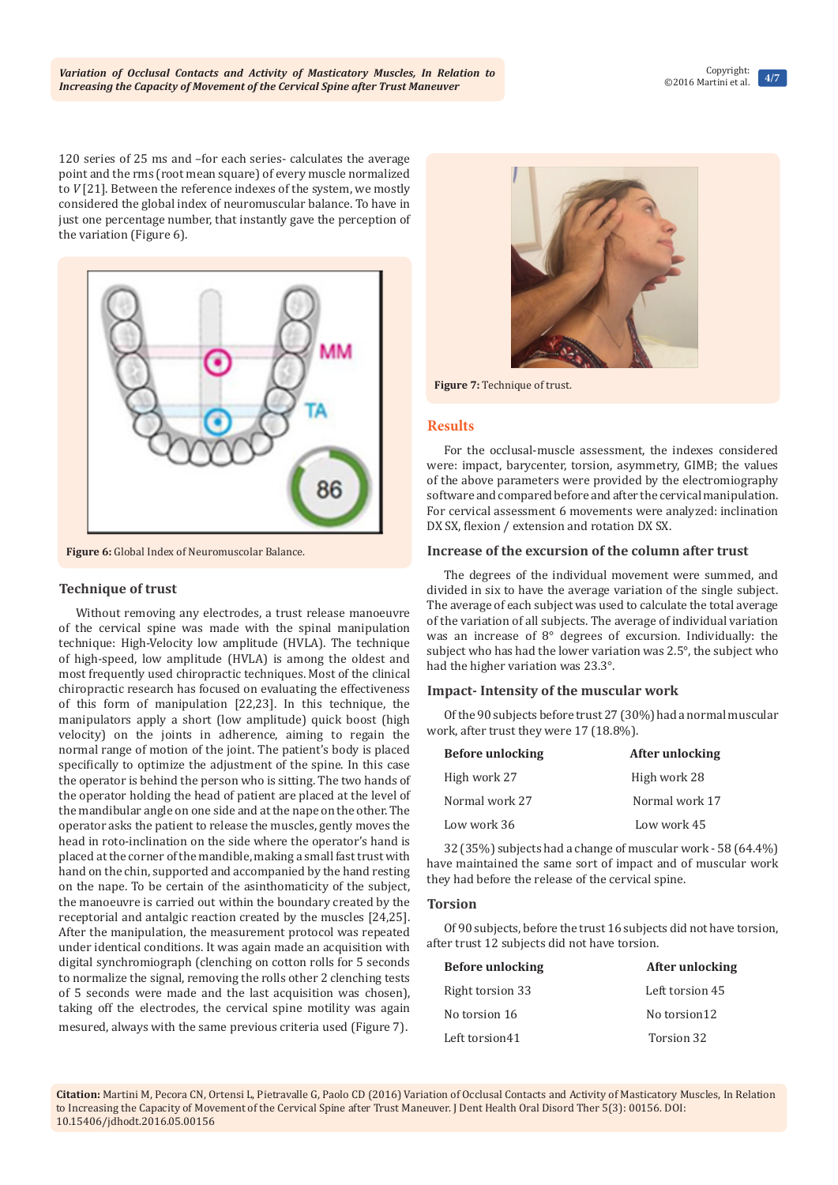120 series of 25 ms and –for each series- calculates the average point and the rms (root mean square) of every muscle normalized to *V* [21]. Between the reference indexes of the system, we mostly considered the global index of neuromuscular balance. To have in just one percentage number, that instantly gave the perception of the variation (Figure 6).



**Figure 6:** Global Index of Neuromuscolar Balance.

## **Technique of trust**

Without removing any electrodes, a trust release manoeuvre of the cervical spine was made with the spinal manipulation technique: High-Velocity low amplitude (HVLA). The technique of high-speed, low amplitude (HVLA) is among the oldest and most frequently used chiropractic techniques. Most of the clinical chiropractic research has focused on evaluating the effectiveness of this form of manipulation [22,23]. In this technique, the manipulators apply a short (low amplitude) quick boost (high velocity) on the joints in adherence, aiming to regain the normal range of motion of the joint. The patient's body is placed specifically to optimize the adjustment of the spine. In this case the operator is behind the person who is sitting. The two hands of the operator holding the head of patient are placed at the level of the mandibular angle on one side and at the nape on the other. The operator asks the patient to release the muscles, gently moves the head in roto-inclination on the side where the operator's hand is placed at the corner of the mandible, making a small fast trust with hand on the chin, supported and accompanied by the hand resting on the nape. To be certain of the asinthomaticity of the subject, the manoeuvre is carried out within the boundary created by the receptorial and antalgic reaction created by the muscles [24,25]. After the manipulation, the measurement protocol was repeated under identical conditions. It was again made an acquisition with digital synchromiograph (clenching on cotton rolls for 5 seconds to normalize the signal, removing the rolls other 2 clenching tests of 5 seconds were made and the last acquisition was chosen), taking off the electrodes, the cervical spine motility was again mesured, always with the same previous criteria used (Figure 7).



**Figure 7:** Technique of trust.

#### **Results**

For the occlusal-muscle assessment, the indexes considered were: impact, barycenter, torsion, asymmetry, GIMB; the values of the above parameters were provided by the electromiography software and compared before and after the cervical manipulation. For cervical assessment 6 movements were analyzed: inclination DX SX, flexion / extension and rotation DX SX.

#### **Increase of the excursion of the column after trust**

The degrees of the individual movement were summed, and divided in six to have the average variation of the single subject. The average of each subject was used to calculate the total average of the variation of all subjects. The average of individual variation was an increase of 8° degrees of excursion. Individually: the subject who has had the lower variation was 2.5°, the subject who had the higher variation was 23.3°.

#### **Impact- Intensity of the muscular work**

Of the 90 subjects before trust 27 (30%) had a normal muscular work, after trust they were 17 (18.8%).

| <b>Before unlocking</b> | After unlocking |
|-------------------------|-----------------|
| High work 27            | High work 28    |
| Normal work 27          | Normal work 17  |
| Low work 36             | Low work 45     |

32 (35%) subjects had a change of muscular work - 58 (64.4%) have maintained the same sort of impact and of muscular work they had before the release of the cervical spine.

#### **Torsion**

Of 90 subjects, before the trust 16 subjects did not have torsion, after trust 12 subjects did not have torsion.

| <b>Before unlocking</b> | After unlocking |
|-------------------------|-----------------|
| Right torsion 33        | Left torsion 45 |
| No torsion 16           | No torsion12    |
| Left torsion41          | Torsion 32      |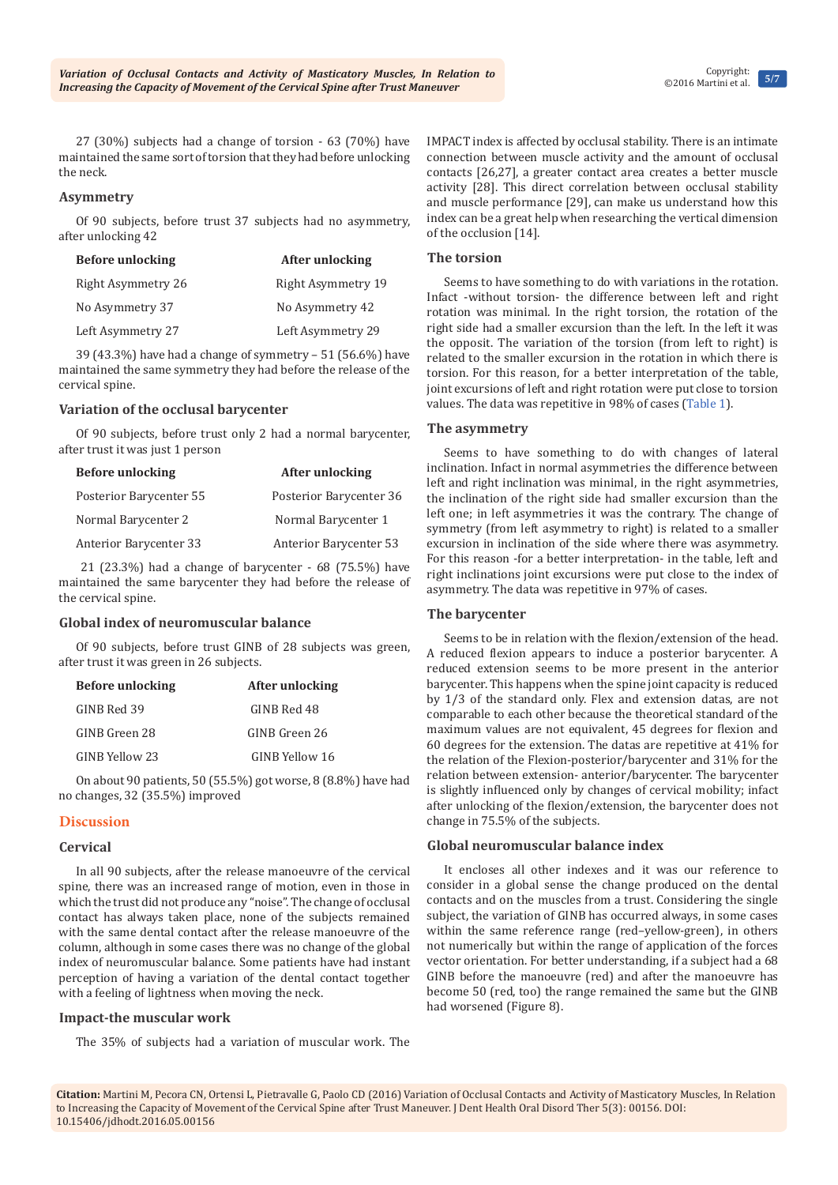27 (30%) subjects had a change of torsion - 63 (70%) have maintained the same sort of torsion that they had before unlocking the neck.

#### **Asymmetry**

Of 90 subjects, before trust 37 subjects had no asymmetry, after unlocking 42

| <b>Before unlocking</b> | After unlocking    |
|-------------------------|--------------------|
| Right Asymmetry 26      | Right Asymmetry 19 |
| No Asymmetry 37         | No Asymmetry 42    |
| Left Asymmetry 27       | Left Asymmetry 29  |

39 (43.3%) have had a change of symmetry – 51 (56.6%) have maintained the same symmetry they had before the release of the cervical spine.

# **Variation of the occlusal barycenter**

Of 90 subjects, before trust only 2 had a normal barycenter, after trust it was just 1 person

| <b>Before unlocking</b> | After unlocking         |
|-------------------------|-------------------------|
| Posterior Barycenter 55 | Posterior Barycenter 36 |
| Normal Barycenter 2     | Normal Barycenter 1     |
| Anterior Barycenter 33  | Anterior Barycenter 53  |

 21 (23.3%) had a change of barycenter - 68 (75.5%) have maintained the same barycenter they had before the release of the cervical spine.

#### **Global index of neuromuscular balance**

Of 90 subjects, before trust GINB of 28 subjects was green, after trust it was green in 26 subjects.

| <b>Before unlocking</b> | After unlocking |
|-------------------------|-----------------|
| GINB Red 39             | GINB Red 48     |
| GINB Green 28           | GINB Green 26   |
| GINB Yellow 23          | GINB Yellow 16  |

On about 90 patients, 50 (55.5%) got worse, 8 (8.8%) have had no changes, 32 (35.5%) improved

# **Discussion**

#### **Cervical**

In all 90 subjects, after the release manoeuvre of the cervical spine, there was an increased range of motion, even in those in which the trust did not produce any "noise". The change of occlusal contact has always taken place, none of the subjects remained with the same dental contact after the release manoeuvre of the column, although in some cases there was no change of the global index of neuromuscular balance. Some patients have had instant perception of having a variation of the dental contact together with a feeling of lightness when moving the neck.

# **Impact-the muscular work**

The 35% of subjects had a variation of muscular work. The

IMPACT index is affected by occlusal stability. There is an intimate connection between muscle activity and the amount of occlusal contacts [26,27], a greater contact area creates a better muscle activity [28]. This direct correlation between occlusal stability and muscle performance [29], can make us understand how this index can be a great help when researching the vertical dimension of the occlusion [14].

## **The torsion**

Seems to have something to do with variations in the rotation. Infact -without torsion- the difference between left and right rotation was minimal. In the right torsion, the rotation of the right side had a smaller excursion than the left. In the left it was the opposit. The variation of the torsion (from left to right) is related to the smaller excursion in the rotation in which there is torsion. For this reason, for a better interpretation of the table, joint excursions of left and right rotation were put close to torsion values. The data was repetitive in 98% of cases [\(Table 1](http://medcraveonline.com/JDHODT/JDHODT-05-00156T.pdf)).

#### **The asymmetry**

Seems to have something to do with changes of lateral inclination. Infact in normal asymmetries the difference between left and right inclination was minimal, in the right asymmetries, the inclination of the right side had smaller excursion than the left one; in left asymmetries it was the contrary. The change of symmetry (from left asymmetry to right) is related to a smaller excursion in inclination of the side where there was asymmetry. For this reason -for a better interpretation- in the table, left and right inclinations joint excursions were put close to the index of asymmetry. The data was repetitive in 97% of cases.

# **The barycenter**

Seems to be in relation with the flexion/extension of the head. A reduced flexion appears to induce a posterior barycenter. A reduced extension seems to be more present in the anterior barycenter. This happens when the spine joint capacity is reduced by 1/3 of the standard only. Flex and extension datas, are not comparable to each other because the theoretical standard of the maximum values are not equivalent, 45 degrees for flexion and 60 degrees for the extension. The datas are repetitive at 41% for the relation of the Flexion-posterior/barycenter and 31% for the relation between extension- anterior/barycenter. The barycenter is slightly influenced only by changes of cervical mobility; infact after unlocking of the flexion/extension, the barycenter does not change in 75.5% of the subjects.

# **Global neuromuscular balance index**

It encloses all other indexes and it was our reference to consider in a global sense the change produced on the dental contacts and on the muscles from a trust. Considering the single subject, the variation of GINB has occurred always, in some cases within the same reference range (red–yellow-green), in others not numerically but within the range of application of the forces vector orientation. For better understanding, if a subject had a 68 GINB before the manoeuvre (red) and after the manoeuvre has become 50 (red, too) the range remained the same but the GINB had worsened (Figure 8).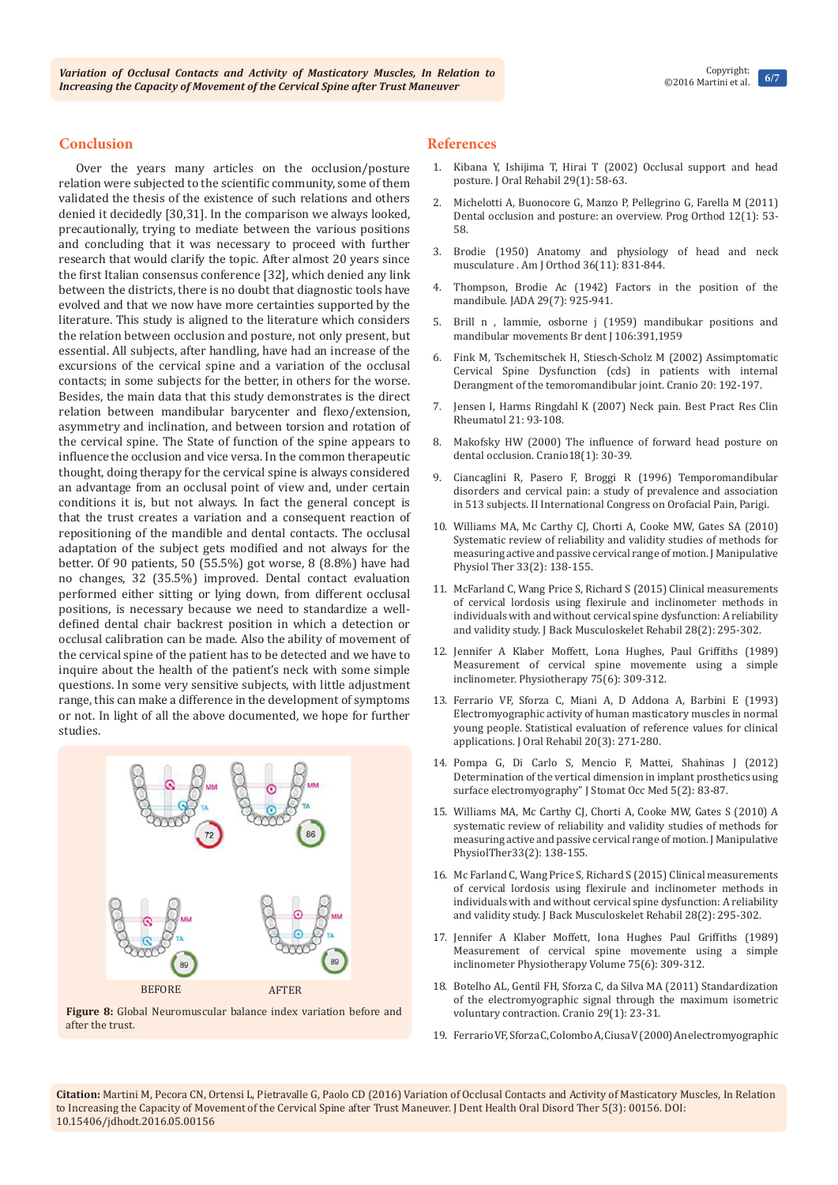#### **Conclusion**

Over the years many articles on the occlusion/posture relation were subjected to the scientific community, some of them validated the thesis of the existence of such relations and others denied it decidedly [30,31]. In the comparison we always looked, precautionally, trying to mediate between the various positions and concluding that it was necessary to proceed with further research that would clarify the topic. After almost 20 years since the first Italian consensus conference [32], which denied any link between the districts, there is no doubt that diagnostic tools have evolved and that we now have more certainties supported by the literature. This study is aligned to the literature which considers the relation between occlusion and posture, not only present, but essential. All subjects, after handling, have had an increase of the excursions of the cervical spine and a variation of the occlusal contacts; in some subjects for the better, in others for the worse. Besides, the main data that this study demonstrates is the direct relation between mandibular barycenter and flexo/extension, asymmetry and inclination, and between torsion and rotation of the cervical spine. The State of function of the spine appears to influence the occlusion and vice versa. In the common therapeutic thought, doing therapy for the cervical spine is always considered an advantage from an occlusal point of view and, under certain conditions it is, but not always. In fact the general concept is that the trust creates a variation and a consequent reaction of repositioning of the mandible and dental contacts. The occlusal adaptation of the subject gets modified and not always for the better. Of 90 patients, 50 (55.5%) got worse, 8 (8.8%) have had no changes, 32 (35.5%) improved. Dental contact evaluation performed either sitting or lying down, from different occlusal positions, is necessary because we need to standardize a welldefined dental chair backrest position in which a detection or occlusal calibration can be made. Also the ability of movement of the cervical spine of the patient has to be detected and we have to inquire about the health of the patient's neck with some simple questions. In some very sensitive subjects, with little adjustment range, this can make a difference in the development of symptoms or not. In light of all the above documented, we hope for further studies.



**Figure 8:** Global Neuromuscular balance index variation before and after the trust.

#### **References**

- 1. [Kibana Y, Ishijima T, Hirai T \(2002\) Occlusal support and head](https://www.ncbi.nlm.nih.gov/pubmed/11844033)  [posture. J Oral Rehabil 29\(1\): 58-63.](https://www.ncbi.nlm.nih.gov/pubmed/11844033)
- 2. [Michelotti A, Buonocore G, Manzo P, Pellegrino G, Farella M \(2011\)](https://www.ncbi.nlm.nih.gov/pubmed/21515232)  [Dental occlusion and posture: an overview. Prog Orthod 12\(1\): 53-](https://www.ncbi.nlm.nih.gov/pubmed/21515232) [58.](https://www.ncbi.nlm.nih.gov/pubmed/21515232)
- 3. [Brodie \(1950\) Anatomy and physiology of head and neck](https://www.ncbi.nlm.nih.gov/pubmed/14783190)  [musculature . Am J Orthod 36\(11\): 831-844.](https://www.ncbi.nlm.nih.gov/pubmed/14783190)
- 4. [Thompson, Brodie Ac \(1942\) Factors in the position of the](http://www.sciencedirect.com/science/article/pii/S0002817742970028)  [mandibule. JADA 29\(7\): 925-941.](http://www.sciencedirect.com/science/article/pii/S0002817742970028)
- 5. Brill n , lammie, osborne j (1959) mandibukar positions and mandibular movements Br dent J 106:391,1959
- 6. [Fink M, Tschemitschek H, Stiesch-Scholz M \(2002\) Assimptomatic](https://www.ncbi.nlm.nih.gov/pubmed/12150265)  [Cervical Spine Dysfunction \(cds\) in patients with internal](https://www.ncbi.nlm.nih.gov/pubmed/12150265)  [Derangment of the temoromandibular joint. Cranio 20: 192-197.](https://www.ncbi.nlm.nih.gov/pubmed/12150265)
- 7. Jensen I, Harms Ringdahl K (2007) Neck pain. Best Pract Res Clin Rheumatol 21: 93-108.
- 8. [Makofsky HW \(2000\) The influence of forward head posture on](https://www.ncbi.nlm.nih.gov/pubmed/11202813)  [dental occlusion. Cranio18\(1\): 30-39.](https://www.ncbi.nlm.nih.gov/pubmed/11202813)
- 9. Ciancaglini R, Pasero F, Broggi R (1996) Temporomandibular disorders and cervical pain: a study of prevalence and association in 513 subjects. II International Congress on Orofacial Pain, Parigi.
- 10. [Williams MA, Mc Carthy CJ, Chorti A, Cooke MW, Gates SA \(2010\)](https://www.ncbi.nlm.nih.gov/pubmed/20170780)  [Systematic review of reliability and validity studies of methods for](https://www.ncbi.nlm.nih.gov/pubmed/20170780)  [measuring active and passive cervical range of motion. J Manipulative](https://www.ncbi.nlm.nih.gov/pubmed/20170780)  [Physiol Ther 33\(2\): 138-155.](https://www.ncbi.nlm.nih.gov/pubmed/20170780)
- 11. [McFarland C, Wang Price S, Richard S \(2015\) Clinical measurements](https://www.ncbi.nlm.nih.gov/pubmed/25096317)  [of cervical lordosis using flexirule and inclinometer methods in](https://www.ncbi.nlm.nih.gov/pubmed/25096317)  [individuals with and without cervical spine dysfunction: A reliability](https://www.ncbi.nlm.nih.gov/pubmed/25096317)  [and validity study. J Back Musculoskelet Rehabil 28\(2\): 295-302.](https://www.ncbi.nlm.nih.gov/pubmed/25096317)
- 12. [Jennifer A Klaber Moffett, Lona Hughes, Paul Griffiths \(1989\)](http://www.physiotherapyjournal.com/article/S0031-9406(10)62543-6/abstract)  [Measurement of cervical spine movemente using a simple](http://www.physiotherapyjournal.com/article/S0031-9406(10)62543-6/abstract)  [inclinometer. Physiotherapy 75\(6\): 309-312.](http://www.physiotherapyjournal.com/article/S0031-9406(10)62543-6/abstract)
- 13. [Ferrario VF, Sforza C, Miani A, D Addona A, Barbini E \(1993\)](https://www.ncbi.nlm.nih.gov/pubmed/8496733)  [Electromyographic activity of human masticatory muscles in normal](https://www.ncbi.nlm.nih.gov/pubmed/8496733)  [young people. Statistical evaluation of reference values for clinical](https://www.ncbi.nlm.nih.gov/pubmed/8496733)  [applications. J Oral Rehabil 20\(3\): 271-280.](https://www.ncbi.nlm.nih.gov/pubmed/8496733)
- 14. [Pompa G, Di Carlo S, Mencio F, Mattei, Shahinas J \(2012\)](http://link.springer.com/article/10.1007/s12548-012-0043-x)  [Determination of the vertical dimension in implant prosthetics using](http://link.springer.com/article/10.1007/s12548-012-0043-x)  [surface electromyography" J Stomat Occ Med 5\(2\): 83-87.](http://link.springer.com/article/10.1007/s12548-012-0043-x)
- 15. [Williams MA, Mc Carthy CJ, Chorti A, Cooke MW, Gates S \(2010\) A](https://www.ncbi.nlm.nih.gov/pubmed/20170780)  [systematic review of reliability and validity studies of methods for](https://www.ncbi.nlm.nih.gov/pubmed/20170780)  [measuring active and passive cervical range of motion. J Manipulative](https://www.ncbi.nlm.nih.gov/pubmed/20170780)  [PhysiolTher33\(2\): 138-155.](https://www.ncbi.nlm.nih.gov/pubmed/20170780)
- 16. [Mc Farland C, Wang Price S, Richard S \(2015\) Clinical measurements](https://www.ncbi.nlm.nih.gov/pubmed/25096317)  [of cervical lordosis using flexirule and inclinometer methods in](https://www.ncbi.nlm.nih.gov/pubmed/25096317)  [individuals with and without cervical spine dysfunction: A reliability](https://www.ncbi.nlm.nih.gov/pubmed/25096317)  [and validity study. J Back Musculoskelet Rehabil 28\(2\): 295-302.](https://www.ncbi.nlm.nih.gov/pubmed/25096317)
- 17. [Jennifer A Klaber Moffett, Iona Hughes Paul Griffiths \(1989\)](http://www.physiotherapyjournal.com/article/S0031-9406(10)62543-6/abstract)  [Measurement of cervical spine movemente using a simple](http://www.physiotherapyjournal.com/article/S0031-9406(10)62543-6/abstract)  [inclinometer Physiotherapy Volume 75\(6\): 309-312.](http://www.physiotherapyjournal.com/article/S0031-9406(10)62543-6/abstract)
- 18. [Botelho AL, Gentil FH, Sforza C, da Silva MA \(2011\) Standardization](https://www.ncbi.nlm.nih.gov/pubmed/21370766)  [of the electromyographic signal through the maximum isometric](https://www.ncbi.nlm.nih.gov/pubmed/21370766)  [voluntary contraction. Cranio 29\(1\): 23-31.](https://www.ncbi.nlm.nih.gov/pubmed/21370766)
- 19. [Ferrario VF, Sforza C, Colombo A, Ciusa V \(2000\) An electromyographic](https://www.ncbi.nlm.nih.gov/pubmed/10632841)